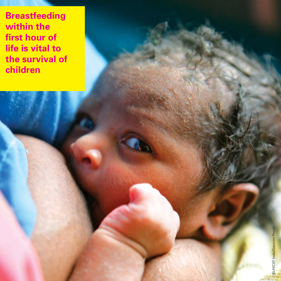**Breastfeeding within the first hour of life is vital to the survival of children**